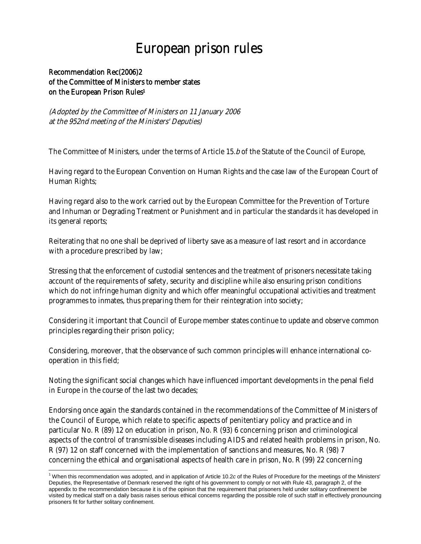# European prison rules

Recommendation Rec(2006)2 of the Committee of Ministers to member states on the European Prison Rules<sup>1</sup>

l

(Adopted by the Committee of Ministers on 11 January 2006 at the 952nd meeting of the Ministers' Deputies)

The Committee of Ministers, under the terms of Article 15.b of the Statute of the Council of Europe,

Having regard to the European Convention on Human Rights and the case law of the European Court of Human Rights;

Having regard also to the work carried out by the European Committee for the Prevention of Torture and Inhuman or Degrading Treatment or Punishment and in particular the standards it has developed in its general reports;

Reiterating that no one shall be deprived of liberty save as a measure of last resort and in accordance with a procedure prescribed by law;

Stressing that the enforcement of custodial sentences and the treatment of prisoners necessitate taking account of the requirements of safety, security and discipline while also ensuring prison conditions which do not infringe human dignity and which offer meaningful occupational activities and treatment programmes to inmates, thus preparing them for their reintegration into society;

Considering it important that Council of Europe member states continue to update and observe common principles regarding their prison policy;

Considering, moreover, that the observance of such common principles will enhance international cooperation in this field;

Noting the significant social changes which have influenced important developments in the penal field in Europe in the course of the last two decades;

Endorsing once again the standards contained in the recommendations of the Committee of Ministers of the Council of Europe, which relate to specific aspects of penitentiary policy and practice and in particular No. R (89) 12 on education in prison, No. R (93) 6 concerning prison and criminological aspects of the control of transmissible diseases including AIDS and related health problems in prison, No. R (97) 12 on staff concerned with the implementation of sanctions and measures, No. R (98) 7 concerning the ethical and organisational aspects of health care in prison, No. R (99) 22 concerning

<sup>1</sup> When this recommendation was adopted, and in application of Article 10.2*c* of the Rules of Procedure for the meetings of the Ministers' Deputies, the Representative of Denmark reserved the right of his government to comply or not with Rule 43, paragraph 2, of the appendix to the recommendation because it is of the opinion that the requirement that prisoners held under solitary confinement be visited by medical staff on a daily basis raises serious ethical concerns regarding the possible role of such staff in effectively pronouncing prisoners fit for further solitary confinement.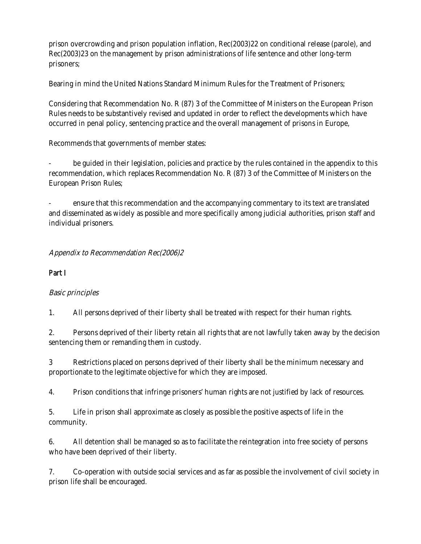prison overcrowding and prison population inflation, Rec(2003)22 on conditional release (parole), and Rec(2003)23 on the management by prison administrations of life sentence and other long-term prisoners;

Bearing in mind the United Nations Standard Minimum Rules for the Treatment of Prisoners;

Considering that Recommendation No. R (87) 3 of the Committee of Ministers on the European Prison Rules needs to be substantively revised and updated in order to reflect the developments which have occurred in penal policy, sentencing practice and the overall management of prisons in Europe,

Recommends that governments of member states:

be guided in their legislation, policies and practice by the rules contained in the appendix to this recommendation, which replaces Recommendation No. R (87) 3 of the Committee of Ministers on the European Prison Rules;

ensure that this recommendation and the accompanying commentary to its text are translated and disseminated as widely as possible and more specifically among judicial authorities, prison staff and individual prisoners.

Appendix to Recommendation Rec(2006)2

## Part I

## Basic principles

1. All persons deprived of their liberty shall be treated with respect for their human rights.

2. Persons deprived of their liberty retain all rights that are not lawfully taken away by the decision sentencing them or remanding them in custody.

3 Restrictions placed on persons deprived of their liberty shall be the minimum necessary and proportionate to the legitimate objective for which they are imposed.

4. Prison conditions that infringe prisoners' human rights are not justified by lack of resources.

5. Life in prison shall approximate as closely as possible the positive aspects of life in the community.

6. All detention shall be managed so as to facilitate the reintegration into free society of persons who have been deprived of their liberty.

7. Co-operation with outside social services and as far as possible the involvement of civil society in prison life shall be encouraged.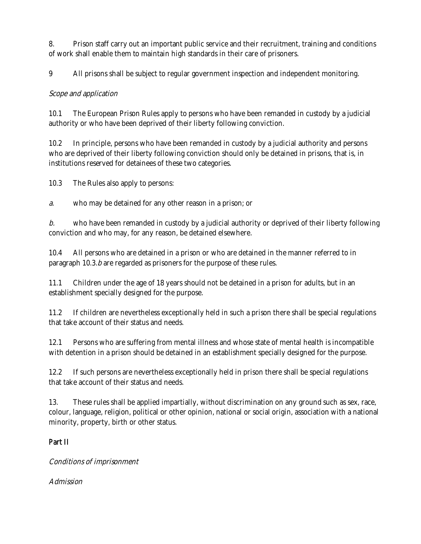8. Prison staff carry out an important public service and their recruitment, training and conditions of work shall enable them to maintain high standards in their care of prisoners.

9 All prisons shall be subject to regular government inspection and independent monitoring.

## Scope and application

10.1 The European Prison Rules apply to persons who have been remanded in custody by a judicial authority or who have been deprived of their liberty following conviction.

10.2 In principle, persons who have been remanded in custody by a judicial authority and persons who are deprived of their liberty following conviction should only be detained in prisons, that is, in institutions reserved for detainees of these two categories.

10.3 The Rules also apply to persons:

a. who may be detained for any other reason in a prison; or

 $b.$  who have been remanded in custody by a judicial authority or deprived of their liberty following conviction and who may, for any reason, be detained elsewhere.

10.4 All persons who are detained in a prison or who are detained in the manner referred to in paragraph 10.3.b are regarded as prisoners for the purpose of these rules.

11.1 Children under the age of 18 years should not be detained in a prison for adults, but in an establishment specially designed for the purpose.

11.2 If children are nevertheless exceptionally held in such a prison there shall be special regulations that take account of their status and needs.

12.1 Persons who are suffering from mental illness and whose state of mental health is incompatible with detention in a prison should be detained in an establishment specially designed for the purpose.

12.2 If such persons are nevertheless exceptionally held in prison there shall be special regulations that take account of their status and needs.

13. These rules shall be applied impartially, without discrimination on any ground such as sex, race, colour, language, religion, political or other opinion, national or social origin, association with a national minority, property, birth or other status.

# Part II

Conditions of imprisonment

Admission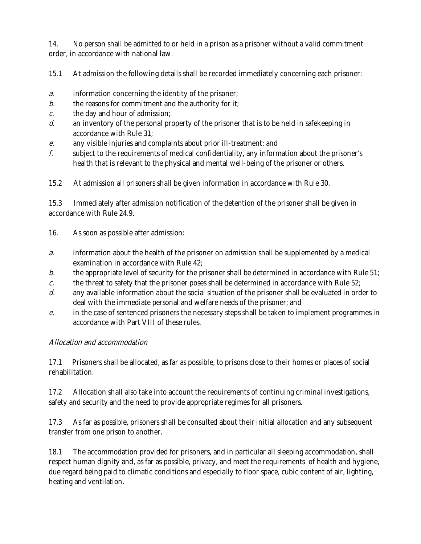14. No person shall be admitted to or held in a prison as a prisoner without a valid commitment order, in accordance with national law.

15.1 At admission the following details shall be recorded immediately concerning each prisoner:

- a. information concerning the identity of the prisoner;
- $b.$  the reasons for commitment and the authority for it;
- c. the day and hour of admission;
- d. an inventory of the personal property of the prisoner that is to be held in safekeeping in accordance with Rule 31;
- e. any visible injuries and complaints about prior ill-treatment; and
- $f.$  subject to the requirements of medical confidentiality, any information about the prisoner's health that is relevant to the physical and mental well-being of the prisoner or others.

15.2 At admission all prisoners shall be given information in accordance with Rule 30.

15.3 Immediately after admission notification of the detention of the prisoner shall be given in accordance with Rule 24.9.

- 16. As soon as possible after admission:
- a. information about the health of the prisoner on admission shall be supplemented by a medical examination in accordance with Rule 42;
- b. the appropriate level of security for the prisoner shall be determined in accordance with Rule  $51$ ;
- $c.$  the threat to safety that the prisoner poses shall be determined in accordance with Rule 52;
- $d.$  any available information about the social situation of the prisoner shall be evaluated in order to deal with the immediate personal and welfare needs of the prisoner; and
- e. in the case of sentenced prisoners the necessary steps shall be taken to implement programmes in accordance with Part VIII of these rules.

#### Allocation and accommodation

17.1 Prisoners shall be allocated, as far as possible, to prisons close to their homes or places of social rehabilitation.

17.2 Allocation shall also take into account the requirements of continuing criminal investigations, safety and security and the need to provide appropriate regimes for all prisoners.

17.3 As far as possible, prisoners shall be consulted about their initial allocation and any subsequent transfer from one prison to another.

18.1 The accommodation provided for prisoners, and in particular all sleeping accommodation, shall respect human dignity and, as far as possible, privacy, and meet the requirements of health and hygiene, due regard being paid to climatic conditions and especially to floor space, cubic content of air, lighting, heating and ventilation.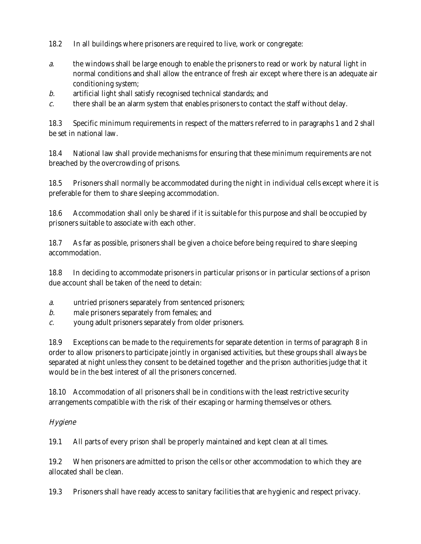- 18.2 In all buildings where prisoners are required to live, work or congregate:
- a. the windows shall be large enough to enable the prisoners to read or work by natural light in normal conditions and shall allow the entrance of fresh air except where there is an adequate air conditioning system;
- b. artificial light shall satisfy recognised technical standards; and
- $c.$  there shall be an alarm system that enables prisoners to contact the staff without delay.

18.3 Specific minimum requirements in respect of the matters referred to in paragraphs 1 and 2 shall be set in national law.

18.4 National law shall provide mechanisms for ensuring that these minimum requirements are not breached by the overcrowding of prisons.

18.5 Prisoners shall normally be accommodated during the night in individual cells except where it is preferable for them to share sleeping accommodation.

18.6 Accommodation shall only be shared if it is suitable for this purpose and shall be occupied by prisoners suitable to associate with each other.

18.7 As far as possible, prisoners shall be given a choice before being required to share sleeping accommodation.

18.8 In deciding to accommodate prisoners in particular prisons or in particular sections of a prison due account shall be taken of the need to detain:

- a. untried prisoners separately from sentenced prisoners;
- b. male prisoners separately from females; and
- c. young adult prisoners separately from older prisoners.

18.9 Exceptions can be made to the requirements for separate detention in terms of paragraph 8 in order to allow prisoners to participate jointly in organised activities, but these groups shall always be separated at night unless they consent to be detained together and the prison authorities judge that it would be in the best interest of all the prisoners concerned.

18.10 Accommodation of all prisoners shall be in conditions with the least restrictive security arrangements compatible with the risk of their escaping or harming themselves or others.

#### Hygiene

19.1 All parts of every prison shall be properly maintained and kept clean at all times.

19.2 When prisoners are admitted to prison the cells or other accommodation to which they are allocated shall be clean.

19.3 Prisoners shall have ready access to sanitary facilities that are hygienic and respect privacy.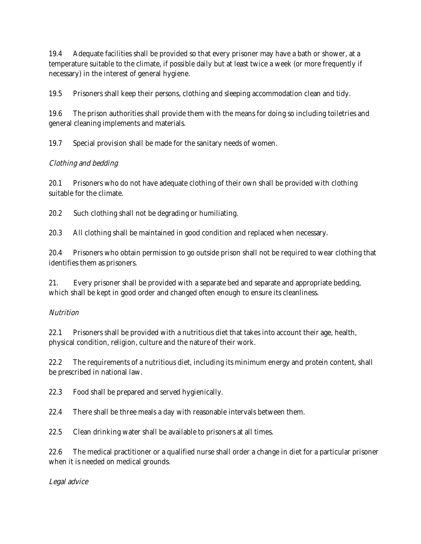19.4 Adequate facilities shall be provided so that every prisoner may have a bath or shower, at a temperature suitable to the climate, if possible daily but at least twice a week (or more frequently if necessary) in the interest of general hygiene.

19.5 Prisoners shall keep their persons, clothing and sleeping accommodation clean and tidy.

19.6 The prison authorities shall provide them with the means for doing so including toiletries and general cleaning implements and materials.

19.7 Special provision shall be made for the sanitary needs of women.

# Clothing and bedding

20.1 Prisoners who do not have adequate clothing of their own shall be provided with clothing suitable for the climate.

20.2 Such clothing shall not be degrading or humiliating.

20.3 All clothing shall be maintained in good condition and replaced when necessary.

20.4 Prisoners who obtain permission to go outside prison shall not be required to wear clothing that identifies them as prisoners.

21. Every prisoner shall be provided with a separate bed and separate and appropriate bedding, which shall be kept in good order and changed often enough to ensure its cleanliness.

## Nutrition

22.1 Prisoners shall be provided with a nutritious diet that takes into account their age, health, physical condition, religion, culture and the nature of their work.

22.2 The requirements of a nutritious diet, including its minimum energy and protein content, shall be prescribed in national law.

22.3 Food shall be prepared and served hygienically.

22.4 There shall be three meals a day with reasonable intervals between them.

22.5 Clean drinking water shall be available to prisoners at all times.

22.6 The medical practitioner or a qualified nurse shall order a change in diet for a particular prisoner when it is needed on medical grounds.

Legal advice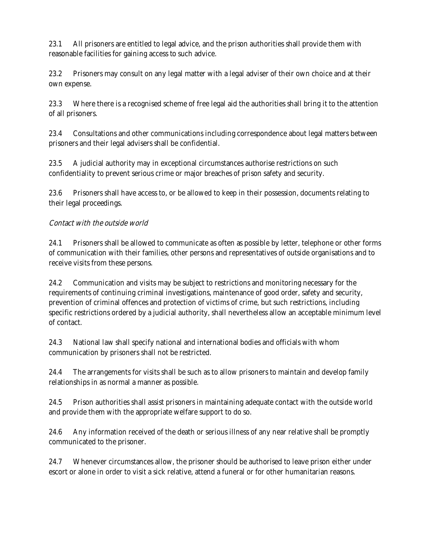23.1 All prisoners are entitled to legal advice, and the prison authorities shall provide them with reasonable facilities for gaining access to such advice.

23.2 Prisoners may consult on any legal matter with a legal adviser of their own choice and at their own expense.

23.3 Where there is a recognised scheme of free legal aid the authorities shall bring it to the attention of all prisoners.

23.4 Consultations and other communications including correspondence about legal matters between prisoners and their legal advisers shall be confidential.

23.5 A judicial authority may in exceptional circumstances authorise restrictions on such confidentiality to prevent serious crime or major breaches of prison safety and security.

23.6 Prisoners shall have access to, or be allowed to keep in their possession, documents relating to their legal proceedings.

## Contact with the outside world

24.1 Prisoners shall be allowed to communicate as often as possible by letter, telephone or other forms of communication with their families, other persons and representatives of outside organisations and to receive visits from these persons.

24.2 Communication and visits may be subject to restrictions and monitoring necessary for the requirements of continuing criminal investigations, maintenance of good order, safety and security, prevention of criminal offences and protection of victims of crime, but such restrictions, including specific restrictions ordered by a judicial authority, shall nevertheless allow an acceptable minimum level of contact.

24.3 National law shall specify national and international bodies and officials with whom communication by prisoners shall not be restricted.

24.4 The arrangements for visits shall be such as to allow prisoners to maintain and develop family relationships in as normal a manner as possible.

24.5 Prison authorities shall assist prisoners in maintaining adequate contact with the outside world and provide them with the appropriate welfare support to do so.

24.6 Any information received of the death or serious illness of any near relative shall be promptly communicated to the prisoner.

24.7 Whenever circumstances allow, the prisoner should be authorised to leave prison either under escort or alone in order to visit a sick relative, attend a funeral or for other humanitarian reasons.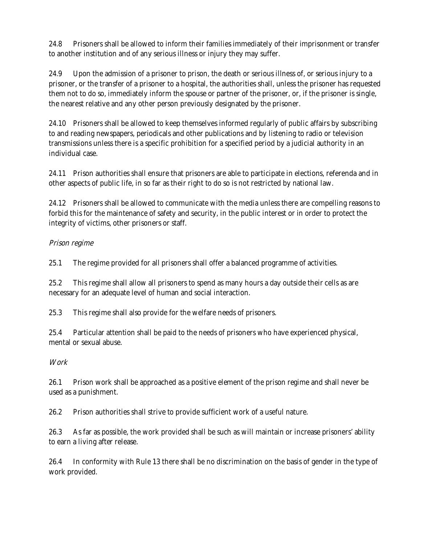24.8 Prisoners shall be allowed to inform their families immediately of their imprisonment or transfer to another institution and of any serious illness or injury they may suffer.

24.9 Upon the admission of a prisoner to prison, the death or serious illness of, or serious injury to a prisoner, or the transfer of a prisoner to a hospital, the authorities shall, unless the prisoner has requested them not to do so, immediately inform the spouse or partner of the prisoner, or, if the prisoner is single, the nearest relative and any other person previously designated by the prisoner.

24.10 Prisoners shall be allowed to keep themselves informed regularly of public affairs by subscribing to and reading newspapers, periodicals and other publications and by listening to radio or television transmissions unless there is a specific prohibition for a specified period by a judicial authority in an individual case.

24.11 Prison authorities shall ensure that prisoners are able to participate in elections, referenda and in other aspects of public life, in so far as their right to do so is not restricted by national law.

24.12 Prisoners shall be allowed to communicate with the media unless there are compelling reasons to forbid this for the maintenance of safety and security, in the public interest or in order to protect the integrity of victims, other prisoners or staff.

#### Prison regime

25.1 The regime provided for all prisoners shall offer a balanced programme of activities.

25.2 This regime shall allow all prisoners to spend as many hours a day outside their cells as are necessary for an adequate level of human and social interaction.

25.3 This regime shall also provide for the welfare needs of prisoners.

25.4 Particular attention shall be paid to the needs of prisoners who have experienced physical, mental or sexual abuse.

## Work

26.1 Prison work shall be approached as a positive element of the prison regime and shall never be used as a punishment.

26.2 Prison authorities shall strive to provide sufficient work of a useful nature.

26.3 As far as possible, the work provided shall be such as will maintain or increase prisoners' ability to earn a living after release.

26.4 In conformity with Rule 13 there shall be no discrimination on the basis of gender in the type of work provided.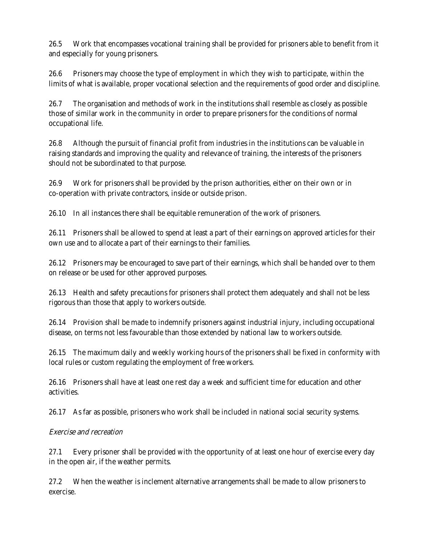26.5 Work that encompasses vocational training shall be provided for prisoners able to benefit from it and especially for young prisoners.

26.6 Prisoners may choose the type of employment in which they wish to participate, within the limits of what is available, proper vocational selection and the requirements of good order and discipline.

26.7 The organisation and methods of work in the institutions shall resemble as closely as possible those of similar work in the community in order to prepare prisoners for the conditions of normal occupational life.

26.8 Although the pursuit of financial profit from industries in the institutions can be valuable in raising standards and improving the quality and relevance of training, the interests of the prisoners should not be subordinated to that purpose.

26.9 Work for prisoners shall be provided by the prison authorities, either on their own or in co-operation with private contractors, inside or outside prison.

26.10 In all instances there shall be equitable remuneration of the work of prisoners.

26.11 Prisoners shall be allowed to spend at least a part of their earnings on approved articles for their own use and to allocate a part of their earnings to their families.

26.12 Prisoners may be encouraged to save part of their earnings, which shall be handed over to them on release or be used for other approved purposes.

26.13 Health and safety precautions for prisoners shall protect them adequately and shall not be less rigorous than those that apply to workers outside.

26.14 Provision shall be made to indemnify prisoners against industrial injury, including occupational disease, on terms not less favourable than those extended by national law to workers outside.

26.15 The maximum daily and weekly working hours of the prisoners shall be fixed in conformity with local rules or custom regulating the employment of free workers.

26.16 Prisoners shall have at least one rest day a week and sufficient time for education and other activities.

26.17 As far as possible, prisoners who work shall be included in national social security systems.

## Exercise and recreation

27.1 Every prisoner shall be provided with the opportunity of at least one hour of exercise every day in the open air, if the weather permits.

27.2 When the weather is inclement alternative arrangements shall be made to allow prisoners to exercise.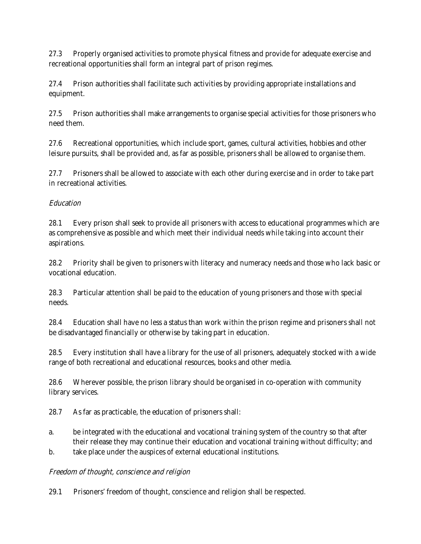27.3 Properly organised activities to promote physical fitness and provide for adequate exercise and recreational opportunities shall form an integral part of prison regimes.

27.4 Prison authorities shall facilitate such activities by providing appropriate installations and equipment.

27.5 Prison authorities shall make arrangements to organise special activities for those prisoners who need them.

27.6 Recreational opportunities, which include sport, games, cultural activities, hobbies and other leisure pursuits, shall be provided and, as far as possible, prisoners shall be allowed to organise them.

27.7 Prisoners shall be allowed to associate with each other during exercise and in order to take part in recreational activities.

## Education

28.1 Every prison shall seek to provide all prisoners with access to educational programmes which are as comprehensive as possible and which meet their individual needs while taking into account their aspirations.

28.2 Priority shall be given to prisoners with literacy and numeracy needs and those who lack basic or vocational education.

28.3 Particular attention shall be paid to the education of young prisoners and those with special needs.

28.4 Education shall have no less a status than work within the prison regime and prisoners shall not be disadvantaged financially or otherwise by taking part in education.

28.5 Every institution shall have a library for the use of all prisoners, adequately stocked with a wide range of both recreational and educational resources, books and other media.

28.6 Wherever possible, the prison library should be organised in co-operation with community library services.

28.7 As far as practicable, the education of prisoners shall:

- a. be integrated with the educational and vocational training system of the country so that after their release they may continue their education and vocational training without difficulty; and
- b. take place under the auspices of external educational institutions.

## Freedom of thought, conscience and religion

29.1 Prisoners' freedom of thought, conscience and religion shall be respected.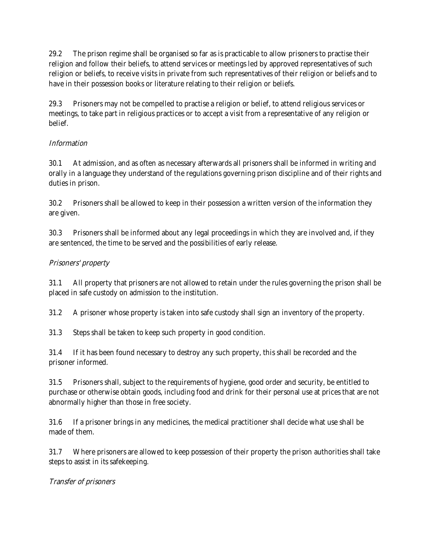29.2 The prison regime shall be organised so far as is practicable to allow prisoners to practise their religion and follow their beliefs, to attend services or meetings led by approved representatives of such religion or beliefs, to receive visits in private from such representatives of their religion or beliefs and to have in their possession books or literature relating to their religion or beliefs.

29.3 Prisoners may not be compelled to practise a religion or belief, to attend religious services or meetings, to take part in religious practices or to accept a visit from a representative of any religion or belief.

## Information

30.1 At admission, and as often as necessary afterwards all prisoners shall be informed in writing and orally in a language they understand of the regulations governing prison discipline and of their rights and duties in prison.

30.2 Prisoners shall be allowed to keep in their possession a written version of the information they are given.

30.3 Prisoners shall be informed about any legal proceedings in which they are involved and, if they are sentenced, the time to be served and the possibilities of early release.

## Prisoners' property

31.1 All property that prisoners are not allowed to retain under the rules governing the prison shall be placed in safe custody on admission to the institution.

31.2 A prisoner whose property is taken into safe custody shall sign an inventory of the property.

31.3 Steps shall be taken to keep such property in good condition.

31.4 If it has been found necessary to destroy any such property, this shall be recorded and the prisoner informed.

31.5 Prisoners shall, subject to the requirements of hygiene, good order and security, be entitled to purchase or otherwise obtain goods, including food and drink for their personal use at prices that are not abnormally higher than those in free society.

31.6 If a prisoner brings in any medicines, the medical practitioner shall decide what use shall be made of them.

31.7 Where prisoners are allowed to keep possession of their property the prison authorities shall take steps to assist in its safekeeping.

## Transfer of prisoners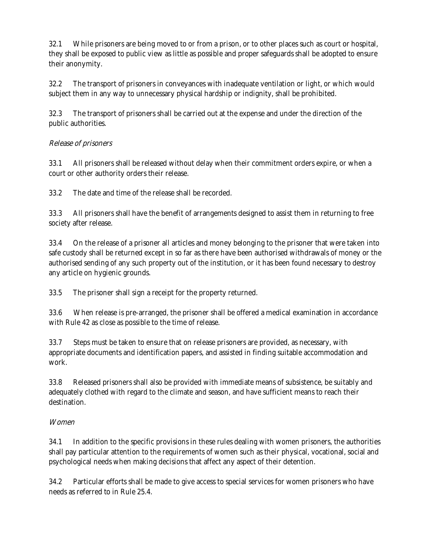32.1 While prisoners are being moved to or from a prison, or to other places such as court or hospital, they shall be exposed to public view as little as possible and proper safeguards shall be adopted to ensure their anonymity.

32.2 The transport of prisoners in conveyances with inadequate ventilation or light, or which would subject them in any way to unnecessary physical hardship or indignity, shall be prohibited.

32.3 The transport of prisoners shall be carried out at the expense and under the direction of the public authorities.

## Release of prisoners

33.1 All prisoners shall be released without delay when their commitment orders expire, or when a court or other authority orders their release.

33.2 The date and time of the release shall be recorded.

33.3 All prisoners shall have the benefit of arrangements designed to assist them in returning to free society after release.

33.4 On the release of a prisoner all articles and money belonging to the prisoner that were taken into safe custody shall be returned except in so far as there have been authorised withdrawals of money or the authorised sending of any such property out of the institution, or it has been found necessary to destroy any article on hygienic grounds.

33.5 The prisoner shall sign a receipt for the property returned.

33.6 When release is pre-arranged, the prisoner shall be offered a medical examination in accordance with Rule 42 as close as possible to the time of release.

33.7 Steps must be taken to ensure that on release prisoners are provided, as necessary, with appropriate documents and identification papers, and assisted in finding suitable accommodation and work.

33.8 Released prisoners shall also be provided with immediate means of subsistence, be suitably and adequately clothed with regard to the climate and season, and have sufficient means to reach their destination.

# Women

34.1 In addition to the specific provisions in these rules dealing with women prisoners, the authorities shall pay particular attention to the requirements of women such as their physical, vocational, social and psychological needs when making decisions that affect any aspect of their detention.

34.2 Particular efforts shall be made to give access to special services for women prisoners who have needs as referred to in Rule 25.4.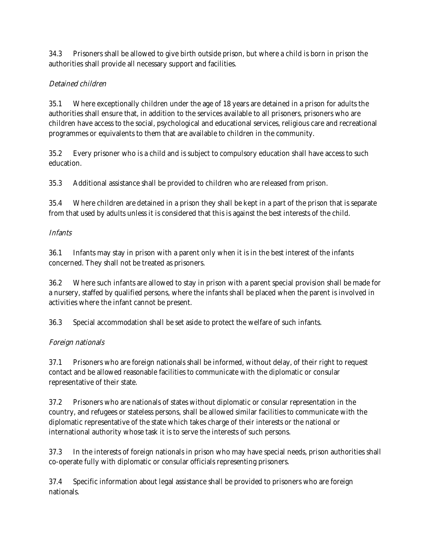34.3 Prisoners shall be allowed to give birth outside prison, but where a child is born in prison the authorities shall provide all necessary support and facilities.

# Detained children

35.1 Where exceptionally children under the age of 18 years are detained in a prison for adults the authorities shall ensure that, in addition to the services available to all prisoners, prisoners who are children have access to the social, psychological and educational services, religious care and recreational programmes or equivalents to them that are available to children in the community.

35.2 Every prisoner who is a child and is subject to compulsory education shall have access to such education.

35.3 Additional assistance shall be provided to children who are released from prison.

35.4 Where children are detained in a prison they shall be kept in a part of the prison that is separate from that used by adults unless it is considered that this is against the best interests of the child.

## Infants

36.1 Infants may stay in prison with a parent only when it is in the best interest of the infants concerned. They shall not be treated as prisoners.

36.2 Where such infants are allowed to stay in prison with a parent special provision shall be made for a nursery, staffed by qualified persons, where the infants shall be placed when the parent is involved in activities where the infant cannot be present.

36.3 Special accommodation shall be set aside to protect the welfare of such infants.

# Foreign nationals

37.1 Prisoners who are foreign nationals shall be informed, without delay, of their right to request contact and be allowed reasonable facilities to communicate with the diplomatic or consular representative of their state.

37.2 Prisoners who are nationals of states without diplomatic or consular representation in the country, and refugees or stateless persons, shall be allowed similar facilities to communicate with the diplomatic representative of the state which takes charge of their interests or the national or international authority whose task it is to serve the interests of such persons.

37.3 In the interests of foreign nationals in prison who may have special needs, prison authorities shall co-operate fully with diplomatic or consular officials representing prisoners.

37.4 Specific information about legal assistance shall be provided to prisoners who are foreign nationals.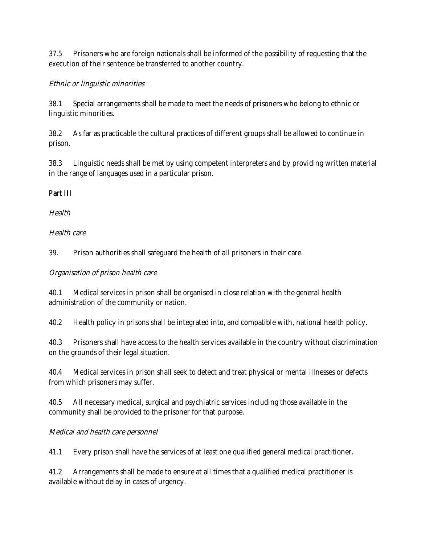37.5 Prisoners who are foreign nationals shall be informed of the possibility of requesting that the execution of their sentence be transferred to another country.

## Ethnic or linguistic minorities

38.1 Special arrangements shall be made to meet the needs of prisoners who belong to ethnic or linguistic minorities.

38.2 As far as practicable the cultural practices of different groups shall be allowed to continue in prison.

38.3 Linguistic needs shall be met by using competent interpreters and by providing written material in the range of languages used in a particular prison.

# Part III

# **Health**

# Health care

39. Prison authorities shall safeguard the health of all prisoners in their care.

## Organisation of prison health care

40.1 Medical services in prison shall be organised in close relation with the general health administration of the community or nation.

40.2 Health policy in prisons shall be integrated into, and compatible with, national health policy.

40.3 Prisoners shall have access to the health services available in the country without discrimination on the grounds of their legal situation.

40.4 Medical services in prison shall seek to detect and treat physical or mental illnesses or defects from which prisoners may suffer.

40.5 All necessary medical, surgical and psychiatric services including those available in the community shall be provided to the prisoner for that purpose.

# Medical and health care personnel

41.1 Every prison shall have the services of at least one qualified general medical practitioner.

41.2 Arrangements shall be made to ensure at all times that a qualified medical practitioner is available without delay in cases of urgency.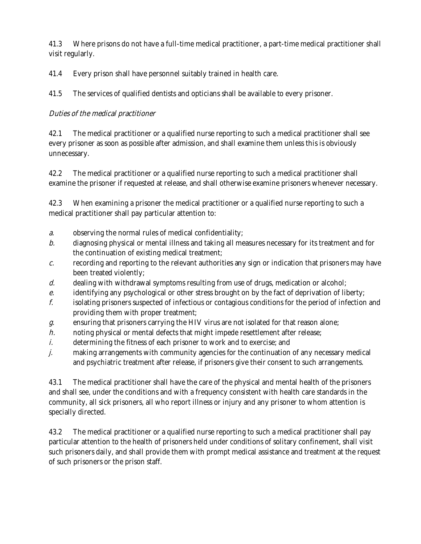41.3 Where prisons do not have a full-time medical practitioner, a part-time medical practitioner shall visit regularly.

41.4 Every prison shall have personnel suitably trained in health care.

41.5 The services of qualified dentists and opticians shall be available to every prisoner.

#### Duties of the medical practitioner

42.1 The medical practitioner or a qualified nurse reporting to such a medical practitioner shall see every prisoner as soon as possible after admission, and shall examine them unless this is obviously unnecessary.

42.2 The medical practitioner or a qualified nurse reporting to such a medical practitioner shall examine the prisoner if requested at release, and shall otherwise examine prisoners whenever necessary.

42.3 When examining a prisoner the medical practitioner or a qualified nurse reporting to such a medical practitioner shall pay particular attention to:

- a. observing the normal rules of medical confidentiality;
- b. diagnosing physical or mental illness and taking all measures necessary for its treatment and for the continuation of existing medical treatment;
- $c.$  recording and reporting to the relevant authorities any sign or indication that prisoners may have been treated violently;
- $d.$  dealing with withdrawal symptoms resulting from use of drugs, medication or alcohol;
- e. identifying any psychological or other stress brought on by the fact of deprivation of liberty;
- f. isolating prisoners suspected of infectious or contagious conditions for the period of infection and providing them with proper treatment;
- g. ensuring that prisoners carrying the HIV virus are not isolated for that reason alone;
- h. noting physical or mental defects that might impede resettlement after release;
- i. determining the fitness of each prisoner to work and to exercise; and
- j. making arrangements with community agencies for the continuation of any necessary medical and psychiatric treatment after release, if prisoners give their consent to such arrangements.

43.1 The medical practitioner shall have the care of the physical and mental health of the prisoners and shall see, under the conditions and with a frequency consistent with health care standards in the community, all sick prisoners, all who report illness or injury and any prisoner to whom attention is specially directed.

43.2 The medical practitioner or a qualified nurse reporting to such a medical practitioner shall pay particular attention to the health of prisoners held under conditions of solitary confinement, shall visit such prisoners daily, and shall provide them with prompt medical assistance and treatment at the request of such prisoners or the prison staff.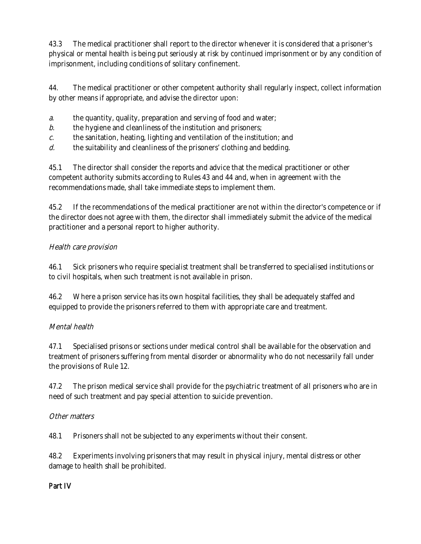43.3 The medical practitioner shall report to the director whenever it is considered that a prisoner's physical or mental health is being put seriously at risk by continued imprisonment or by any condition of imprisonment, including conditions of solitary confinement.

44. The medical practitioner or other competent authority shall regularly inspect, collect information by other means if appropriate, and advise the director upon:

- <sup>a</sup>. the quantity, quality, preparation and serving of food and water;
- b. the hygiene and cleanliness of the institution and prisoners;
- $c.$  the sanitation, heating, lighting and ventilation of the institution; and
- $d.$  the suitability and cleanliness of the prisoners' clothing and bedding.

45.1 The director shall consider the reports and advice that the medical practitioner or other competent authority submits according to Rules 43 and 44 and, when in agreement with the recommendations made, shall take immediate steps to implement them.

45.2 If the recommendations of the medical practitioner are not within the director's competence or if the director does not agree with them, the director shall immediately submit the advice of the medical practitioner and a personal report to higher authority.

#### Health care provision

46.1 Sick prisoners who require specialist treatment shall be transferred to specialised institutions or to civil hospitals, when such treatment is not available in prison.

46.2 Where a prison service has its own hospital facilities, they shall be adequately staffed and equipped to provide the prisoners referred to them with appropriate care and treatment.

#### Mental health

47.1 Specialised prisons or sections under medical control shall be available for the observation and treatment of prisoners suffering from mental disorder or abnormality who do not necessarily fall under the provisions of Rule 12.

47.2 The prison medical service shall provide for the psychiatric treatment of all prisoners who are in need of such treatment and pay special attention to suicide prevention.

#### Other matters

48.1 Prisoners shall not be subjected to any experiments without their consent.

48.2 Experiments involving prisoners that may result in physical injury, mental distress or other damage to health shall be prohibited.

## Part IV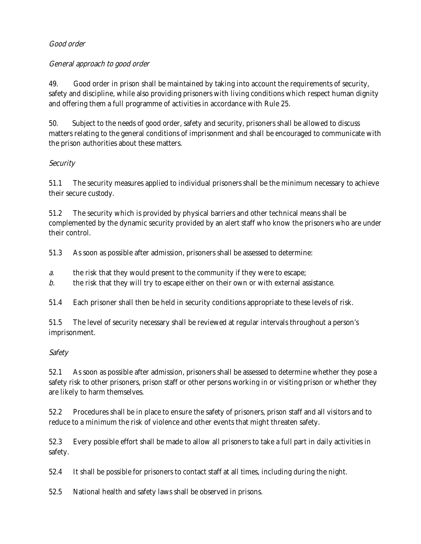#### Good order

#### General approach to good order

49. Good order in prison shall be maintained by taking into account the requirements of security, safety and discipline, while also providing prisoners with living conditions which respect human dignity and offering them a full programme of activities in accordance with Rule 25.

50. Subject to the needs of good order, safety and security, prisoners shall be allowed to discuss matters relating to the general conditions of imprisonment and shall be encouraged to communicate with the prison authorities about these matters.

#### **Security**

51.1 The security measures applied to individual prisoners shall be the minimum necessary to achieve their secure custody.

51.2 The security which is provided by physical barriers and other technical means shall be complemented by the dynamic security provided by an alert staff who know the prisoners who are under their control.

51.3 As soon as possible after admission, prisoners shall be assessed to determine:

- a. the risk that they would present to the community if they were to escape;
- $b.$  the risk that they will try to escape either on their own or with external assistance.

51.4 Each prisoner shall then be held in security conditions appropriate to these levels of risk.

51.5 The level of security necessary shall be reviewed at regular intervals throughout a person's imprisonment.

#### **Safety**

52.1 As soon as possible after admission, prisoners shall be assessed to determine whether they pose a safety risk to other prisoners, prison staff or other persons working in or visiting prison or whether they are likely to harm themselves.

52.2 Procedures shall be in place to ensure the safety of prisoners, prison staff and all visitors and to reduce to a minimum the risk of violence and other events that might threaten safety.

52.3 Every possible effort shall be made to allow all prisoners to take a full part in daily activities in safety.

52.4 It shall be possible for prisoners to contact staff at all times, including during the night.

52.5 National health and safety laws shall be observed in prisons.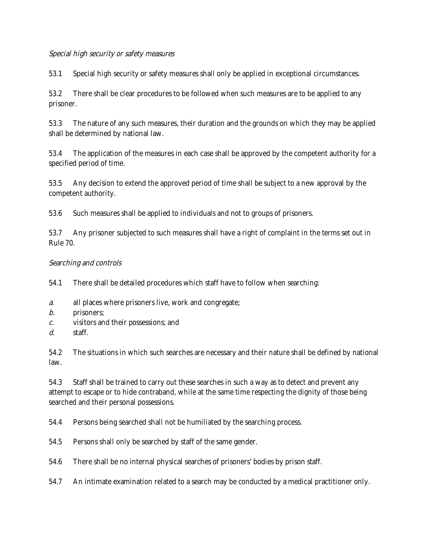#### Special high security or safety measures

53.1 Special high security or safety measures shall only be applied in exceptional circumstances.

53.2 There shall be clear procedures to be followed when such measures are to be applied to any prisoner.

53.3 The nature of any such measures, their duration and the grounds on which they may be applied shall be determined by national law.

53.4 The application of the measures in each case shall be approved by the competent authority for a specified period of time.

53.5 Any decision to extend the approved period of time shall be subject to a new approval by the competent authority.

53.6 Such measures shall be applied to individuals and not to groups of prisoners.

53.7 Any prisoner subjected to such measures shall have a right of complaint in the terms set out in Rule 70.

#### Searching and controls

54.1 There shall be detailed procedures which staff have to follow when searching:

- <sup>a</sup>. all places where prisoners live, work and congregate;
- b. prisoners;
- c. visitors and their possessions; and
- d. staff.

54.2 The situations in which such searches are necessary and their nature shall be defined by national law.

54.3 Staff shall be trained to carry out these searches in such a way as to detect and prevent any attempt to escape or to hide contraband, while at the same time respecting the dignity of those being searched and their personal possessions.

54.4 Persons being searched shall not be humiliated by the searching process.

54.5 Persons shall only be searched by staff of the same gender.

54.6 There shall be no internal physical searches of prisoners' bodies by prison staff.

54.7 An intimate examination related to a search may be conducted by a medical practitioner only.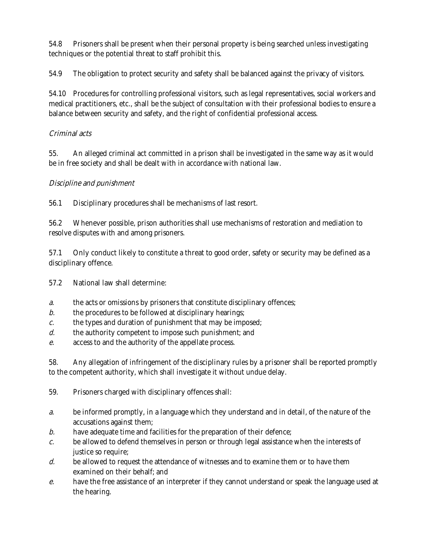54.8 Prisoners shall be present when their personal property is being searched unless investigating techniques or the potential threat to staff prohibit this.

54.9 The obligation to protect security and safety shall be balanced against the privacy of visitors.

54.10 Procedures for controlling professional visitors, such as legal representatives, social workers and medical practitioners, etc., shall be the subject of consultation with their professional bodies to ensure a balance between security and safety, and the right of confidential professional access.

#### Criminal acts

55. An alleged criminal act committed in a prison shall be investigated in the same way as it would be in free society and shall be dealt with in accordance with national law.

## Discipline and punishment

56.1 Disciplinary procedures shall be mechanisms of last resort.

56.2 Whenever possible, prison authorities shall use mechanisms of restoration and mediation to resolve disputes with and among prisoners.

57.1 Only conduct likely to constitute a threat to good order, safety or security may be defined as a disciplinary offence.

57.2 National law shall determine:

- a. the acts or omissions by prisoners that constitute disciplinary offences;
- $b.$  the procedures to be followed at disciplinary hearings;
- $c.$  the types and duration of punishment that may be imposed;
- d. the authority competent to impose such punishment; and
- e. access to and the authority of the appellate process.

58. Any allegation of infringement of the disciplinary rules by a prisoner shall be reported promptly to the competent authority, which shall investigate it without undue delay.

59. Prisoners charged with disciplinary offences shall:

- a. be informed promptly, in a language which they understand and in detail, of the nature of the accusations against them;
- $b.$  have adequate time and facilities for the preparation of their defence;
- $c.$  be allowed to defend themselves in person or through legal assistance when the interests of justice so require;
- $d.$  be allowed to request the attendance of witnesses and to examine them or to have them examined on their behalf; and
- e. have the free assistance of an interpreter if they cannot understand or speak the language used at the hearing.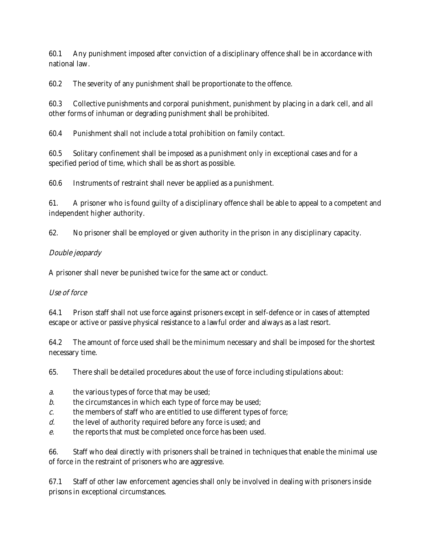60.1 Any punishment imposed after conviction of a disciplinary offence shall be in accordance with national law.

60.2 The severity of any punishment shall be proportionate to the offence.

60.3 Collective punishments and corporal punishment, punishment by placing in a dark cell, and all other forms of inhuman or degrading punishment shall be prohibited.

60.4 Punishment shall not include a total prohibition on family contact.

60.5 Solitary confinement shall be imposed as a punishment only in exceptional cases and for a specified period of time, which shall be as short as possible.

60.6 Instruments of restraint shall never be applied as a punishment.

61. A prisoner who is found guilty of a disciplinary offence shall be able to appeal to a competent and independent higher authority.

62. No prisoner shall be employed or given authority in the prison in any disciplinary capacity.

## Double jeopardy

A prisoner shall never be punished twice for the same act or conduct.

## Use of force

64.1 Prison staff shall not use force against prisoners except in self-defence or in cases of attempted escape or active or passive physical resistance to a lawful order and always as a last resort.

64.2 The amount of force used shall be the minimum necessary and shall be imposed for the shortest necessary time.

65. There shall be detailed procedures about the use of force including stipulations about:

- a. the various types of force that may be used;
- b. the circumstances in which each type of force may be used;
- $c.$  the members of staff who are entitled to use different types of force;
- $d.$  the level of authority required before any force is used; and
- e. the reports that must be completed once force has been used.

66. Staff who deal directly with prisoners shall be trained in techniques that enable the minimal use of force in the restraint of prisoners who are aggressive.

67.1 Staff of other law enforcement agencies shall only be involved in dealing with prisoners inside prisons in exceptional circumstances.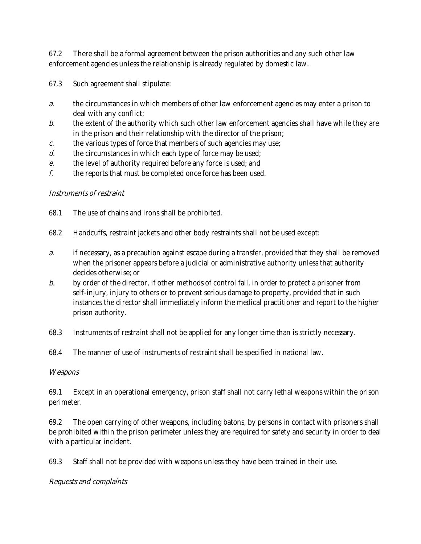67.2 There shall be a formal agreement between the prison authorities and any such other law enforcement agencies unless the relationship is already regulated by domestic law.

67.3 Such agreement shall stipulate:

- a. the circumstances in which members of other law enforcement agencies may enter a prison to deal with any conflict;
- $b.$  the extent of the authority which such other law enforcement agencies shall have while they are in the prison and their relationship with the director of the prison;
- c. the various types of force that members of such agencies may use;
- d. the circumstances in which each type of force may be used;
- e. the level of authority required before any force is used; and
- $f.$  the reports that must be completed once force has been used.

#### Instruments of restraint

- 68.1 The use of chains and irons shall be prohibited.
- 68.2 Handcuffs, restraint jackets and other body restraints shall not be used except:
- a. if necessary, as a precaution against escape during a transfer, provided that they shall be removed when the prisoner appears before a judicial or administrative authority unless that authority decides otherwise; or
- b. by order of the director, if other methods of control fail, in order to protect a prisoner from self-injury, injury to others or to prevent serious damage to property, provided that in such instances the director shall immediately inform the medical practitioner and report to the higher prison authority.

68.3 Instruments of restraint shall not be applied for any longer time than is strictly necessary.

68.4 The manner of use of instruments of restraint shall be specified in national law.

#### **Weapons**

69.1 Except in an operational emergency, prison staff shall not carry lethal weapons within the prison perimeter.

69.2 The open carrying of other weapons, including batons, by persons in contact with prisoners shall be prohibited within the prison perimeter unless they are required for safety and security in order to deal with a particular incident.

69.3 Staff shall not be provided with weapons unless they have been trained in their use.

#### Requests and complaints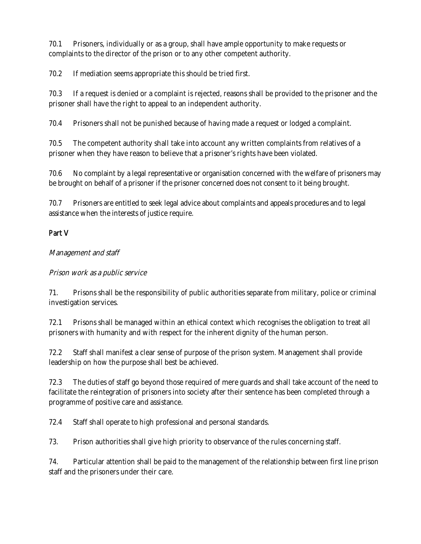70.1 Prisoners, individually or as a group, shall have ample opportunity to make requests or complaints to the director of the prison or to any other competent authority.

70.2 If mediation seems appropriate this should be tried first.

70.3 If a request is denied or a complaint is rejected, reasons shall be provided to the prisoner and the prisoner shall have the right to appeal to an independent authority.

70.4 Prisoners shall not be punished because of having made a request or lodged a complaint.

70.5 The competent authority shall take into account any written complaints from relatives of a prisoner when they have reason to believe that a prisoner's rights have been violated.

70.6 No complaint by a legal representative or organisation concerned with the welfare of prisoners may be brought on behalf of a prisoner if the prisoner concerned does not consent to it being brought.

70.7 Prisoners are entitled to seek legal advice about complaints and appeals procedures and to legal assistance when the interests of justice require.

#### Part V

Management and staff

Prison work as a public service

71. Prisons shall be the responsibility of public authorities separate from military, police or criminal investigation services.

72.1 Prisons shall be managed within an ethical context which recognises the obligation to treat all prisoners with humanity and with respect for the inherent dignity of the human person.

72.2 Staff shall manifest a clear sense of purpose of the prison system. Management shall provide leadership on how the purpose shall best be achieved.

72.3 The duties of staff go beyond those required of mere guards and shall take account of the need to facilitate the reintegration of prisoners into society after their sentence has been completed through a programme of positive care and assistance.

72.4 Staff shall operate to high professional and personal standards.

73. Prison authorities shall give high priority to observance of the rules concerning staff.

74. Particular attention shall be paid to the management of the relationship between first line prison staff and the prisoners under their care.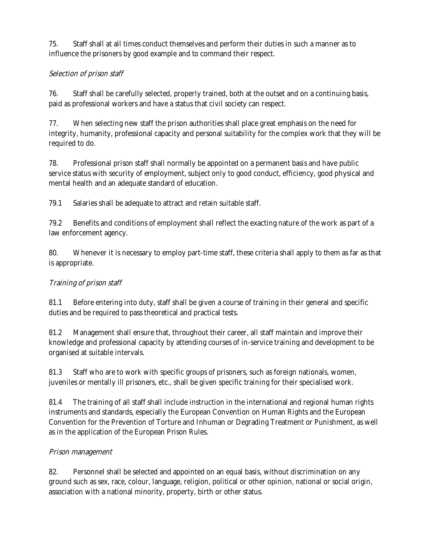75. Staff shall at all times conduct themselves and perform their duties in such a manner as to influence the prisoners by good example and to command their respect.

#### Selection of prison staff

76. Staff shall be carefully selected, properly trained, both at the outset and on a continuing basis, paid as professional workers and have a status that civil society can respect.

77. When selecting new staff the prison authorities shall place great emphasis on the need for integrity, humanity, professional capacity and personal suitability for the complex work that they will be required to do.

78. Professional prison staff shall normally be appointed on a permanent basis and have public service status with security of employment, subject only to good conduct, efficiency, good physical and mental health and an adequate standard of education.

79.1 Salaries shall be adequate to attract and retain suitable staff.

79.2 Benefits and conditions of employment shall reflect the exacting nature of the work as part of a law enforcement agency.

80. Whenever it is necessary to employ part-time staff, these criteria shall apply to them as far as that is appropriate.

## Training of prison staff

81.1 Before entering into duty, staff shall be given a course of training in their general and specific duties and be required to pass theoretical and practical tests.

81.2 Management shall ensure that, throughout their career, all staff maintain and improve their knowledge and professional capacity by attending courses of in-service training and development to be organised at suitable intervals.

81.3 Staff who are to work with specific groups of prisoners, such as foreign nationals, women, juveniles or mentally ill prisoners, etc., shall be given specific training for their specialised work.

81.4 The training of all staff shall include instruction in the international and regional human rights instruments and standards, especially the European Convention on Human Rights and the European Convention for the Prevention of Torture and Inhuman or Degrading Treatment or Punishment, as well as in the application of the European Prison Rules.

## Prison management

82. Personnel shall be selected and appointed on an equal basis, without discrimination on any ground such as sex, race, colour, language, religion, political or other opinion, national or social origin, association with a national minority, property, birth or other status.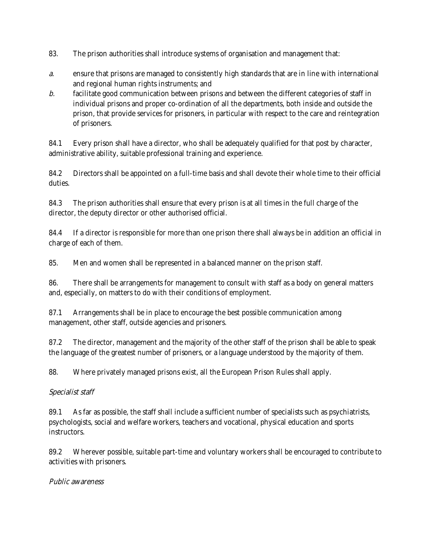- 83. The prison authorities shall introduce systems of organisation and management that:
- a. ensure that prisons are managed to consistently high standards that are in line with international and regional human rights instruments; and
- b. facilitate good communication between prisons and between the different categories of staff in individual prisons and proper co-ordination of all the departments, both inside and outside the prison, that provide services for prisoners, in particular with respect to the care and reintegration of prisoners.

84.1 Every prison shall have a director, who shall be adequately qualified for that post by character, administrative ability, suitable professional training and experience.

84.2 Directors shall be appointed on a full-time basis and shall devote their whole time to their official duties.

84.3 The prison authorities shall ensure that every prison is at all times in the full charge of the director, the deputy director or other authorised official.

84.4 If a director is responsible for more than one prison there shall always be in addition an official in charge of each of them.

85. Men and women shall be represented in a balanced manner on the prison staff.

86. There shall be arrangements for management to consult with staff as a body on general matters and, especially, on matters to do with their conditions of employment.

87.1 Arrangements shall be in place to encourage the best possible communication among management, other staff, outside agencies and prisoners.

87.2 The director, management and the majority of the other staff of the prison shall be able to speak the language of the greatest number of prisoners, or a language understood by the majority of them.

88. Where privately managed prisons exist, all the European Prison Rules shall apply.

## Specialist staff

89.1 As far as possible, the staff shall include a sufficient number of specialists such as psychiatrists, psychologists, social and welfare workers, teachers and vocational, physical education and sports instructors.

89.2 Wherever possible, suitable part-time and voluntary workers shall be encouraged to contribute to activities with prisoners.

#### Public awareness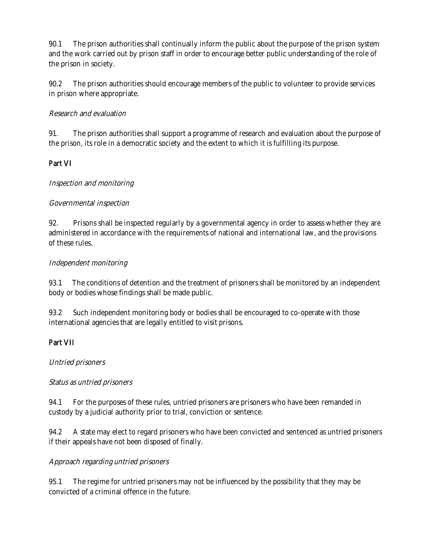90.1 The prison authorities shall continually inform the public about the purpose of the prison system and the work carried out by prison staff in order to encourage better public understanding of the role of the prison in society.

90.2 The prison authorities should encourage members of the public to volunteer to provide services in prison where appropriate.

#### Research and evaluation

91. The prison authorities shall support a programme of research and evaluation about the purpose of the prison, its role in a democratic society and the extent to which it is fulfilling its purpose.

## Part VI

Inspection and monitoring

#### Governmental inspection

92. Prisons shall be inspected regularly by a governmental agency in order to assess whether they are administered in accordance with the requirements of national and international law, and the provisions of these rules.

#### Independent monitoring

93.1 The conditions of detention and the treatment of prisoners shall be monitored by an independent body or bodies whose findings shall be made public.

93.2 Such independent monitoring body or bodies shall be encouraged to co-operate with those international agencies that are legally entitled to visit prisons.

## Part VII

Untried prisoners

#### Status as untried prisoners

94.1 For the purposes of these rules, untried prisoners are prisoners who have been remanded in custody by a judicial authority prior to trial, conviction or sentence.

94.2 A state may elect to regard prisoners who have been convicted and sentenced as untried prisoners if their appeals have not been disposed of finally.

## Approach regarding untried prisoners

95.1 The regime for untried prisoners may not be influenced by the possibility that they may be convicted of a criminal offence in the future.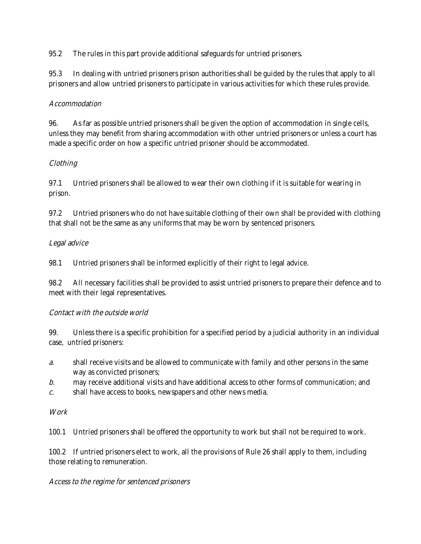95.2 The rules in this part provide additional safeguards for untried prisoners.

95.3 In dealing with untried prisoners prison authorities shall be guided by the rules that apply to all prisoners and allow untried prisoners to participate in various activities for which these rules provide.

#### Accommodation

96. As far as possible untried prisoners shall be given the option of accommodation in single cells, unless they may benefit from sharing accommodation with other untried prisoners or unless a court has made a specific order on how a specific untried prisoner should be accommodated.

## Clothing

97.1 Untried prisoners shall be allowed to wear their own clothing if it is suitable for wearing in prison.

97.2 Untried prisoners who do not have suitable clothing of their own shall be provided with clothing that shall not be the same as any uniforms that may be worn by sentenced prisoners.

#### Legal advice

98.1 Untried prisoners shall be informed explicitly of their right to legal advice.

98.2 All necessary facilities shall be provided to assist untried prisoners to prepare their defence and to meet with their legal representatives.

#### Contact with the outside world

99. Unless there is a specific prohibition for a specified period by a judicial authority in an individual case, untried prisoners:

- a. shall receive visits and be allowed to communicate with family and other persons in the same way as convicted prisoners;
- $b.$  may receive additional visits and have additional access to other forms of communication; and
- c. shall have access to books, newspapers and other news media.

#### Work

100.1 Untried prisoners shall be offered the opportunity to work but shall not be required to work.

100.2 If untried prisoners elect to work, all the provisions of Rule 26 shall apply to them, including those relating to remuneration.

#### Access to the regime for sentenced prisoners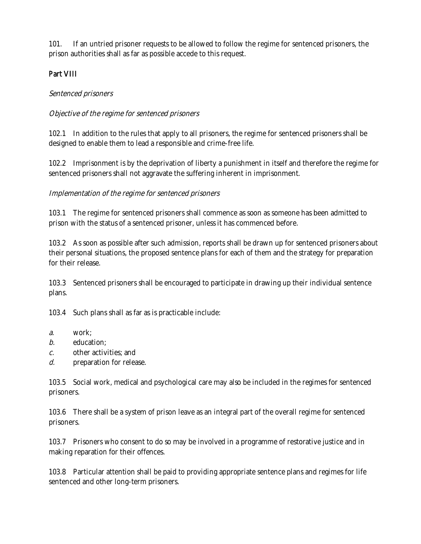101. If an untried prisoner requests to be allowed to follow the regime for sentenced prisoners, the prison authorities shall as far as possible accede to this request.

#### Part VIII

#### Sentenced prisoners

#### Objective of the regime for sentenced prisoners

102.1 In addition to the rules that apply to all prisoners, the regime for sentenced prisoners shall be designed to enable them to lead a responsible and crime-free life.

102.2 Imprisonment is by the deprivation of liberty a punishment in itself and therefore the regime for sentenced prisoners shall not aggravate the suffering inherent in imprisonment.

#### Implementation of the regime for sentenced prisoners

103.1 The regime for sentenced prisoners shall commence as soon as someone has been admitted to prison with the status of a sentenced prisoner, unless it has commenced before.

103.2 As soon as possible after such admission, reports shall be drawn up for sentenced prisoners about their personal situations, the proposed sentence plans for each of them and the strategy for preparation for their release.

103.3 Sentenced prisoners shall be encouraged to participate in drawing up their individual sentence plans.

103.4 Such plans shall as far as is practicable include:

- a. work;
- b. education:
- c. other activities; and
- d. preparation for release.

103.5 Social work, medical and psychological care may also be included in the regimes for sentenced prisoners.

103.6 There shall be a system of prison leave as an integral part of the overall regime for sentenced prisoners.

103.7 Prisoners who consent to do so may be involved in a programme of restorative justice and in making reparation for their offences.

103.8 Particular attention shall be paid to providing appropriate sentence plans and regimes for life sentenced and other long-term prisoners.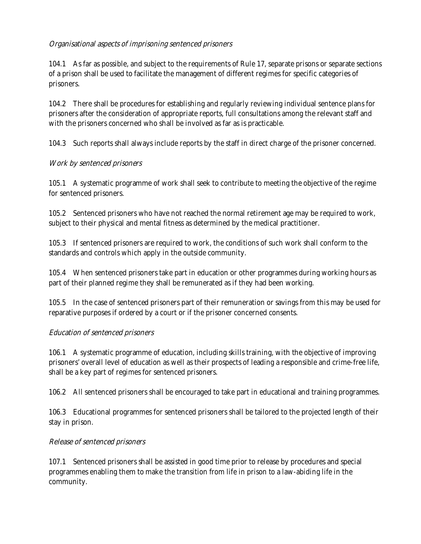#### Organisational aspects of imprisoning sentenced prisoners

104.1 As far as possible, and subject to the requirements of Rule 17, separate prisons or separate sections of a prison shall be used to facilitate the management of different regimes for specific categories of prisoners.

104.2 There shall be procedures for establishing and regularly reviewing individual sentence plans for prisoners after the consideration of appropriate reports, full consultations among the relevant staff and with the prisoners concerned who shall be involved as far as is practicable.

104.3 Such reports shall always include reports by the staff in direct charge of the prisoner concerned.

#### Work by sentenced prisoners

105.1 A systematic programme of work shall seek to contribute to meeting the objective of the regime for sentenced prisoners.

105.2 Sentenced prisoners who have not reached the normal retirement age may be required to work, subject to their physical and mental fitness as determined by the medical practitioner.

105.3 If sentenced prisoners are required to work, the conditions of such work shall conform to the standards and controls which apply in the outside community.

105.4 When sentenced prisoners take part in education or other programmes during working hours as part of their planned regime they shall be remunerated as if they had been working.

105.5 In the case of sentenced prisoners part of their remuneration or savings from this may be used for reparative purposes if ordered by a court or if the prisoner concerned consents.

#### Education of sentenced prisoners

106.1 A systematic programme of education, including skills training, with the objective of improving prisoners' overall level of education as well as their prospects of leading a responsible and crime-free life, shall be a key part of regimes for sentenced prisoners.

106.2 All sentenced prisoners shall be encouraged to take part in educational and training programmes.

106.3 Educational programmes for sentenced prisoners shall be tailored to the projected length of their stay in prison.

## Release of sentenced prisoners

107.1 Sentenced prisoners shall be assisted in good time prior to release by procedures and special programmes enabling them to make the transition from life in prison to a law-abiding life in the community.